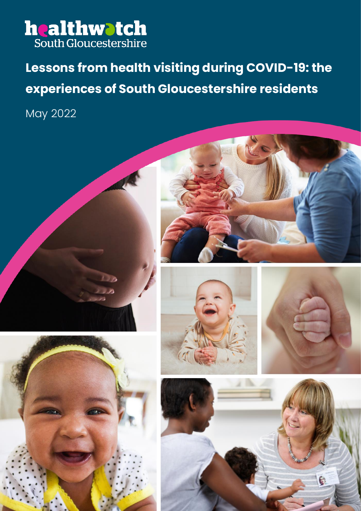

## **Lessons from health visiting during COVID-19: the experiences of South Gloucestershire residents**

May 2022











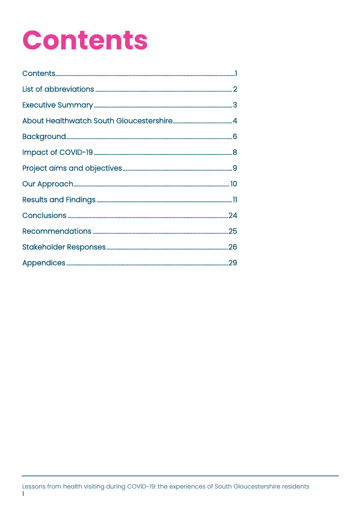## **Contents**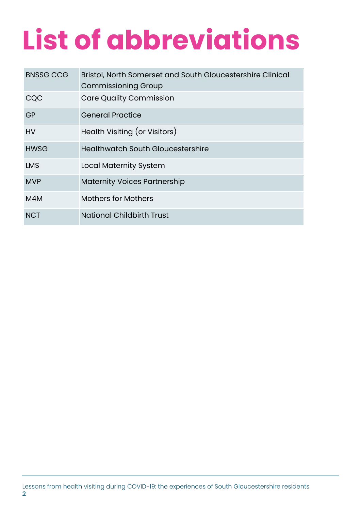## **List of abbreviations**

| <b>BNSSG CCG</b> | Bristol, North Somerset and South Gloucestershire Clinical<br><b>Commissioning Group</b> |
|------------------|------------------------------------------------------------------------------------------|
| CQC              | <b>Care Quality Commission</b>                                                           |
| GP               | <b>General Practice</b>                                                                  |
| <b>HV</b>        | Health Visiting (or Visitors)                                                            |
| <b>HWSG</b>      | <b>Healthwatch South Gloucestershire</b>                                                 |
| <b>LMS</b>       | <b>Local Maternity System</b>                                                            |
| <b>MVP</b>       | <b>Maternity Voices Partnership</b>                                                      |
| M4M              | <b>Mothers for Mothers</b>                                                               |
| <b>NCT</b>       | <b>National Childbirth Trust</b>                                                         |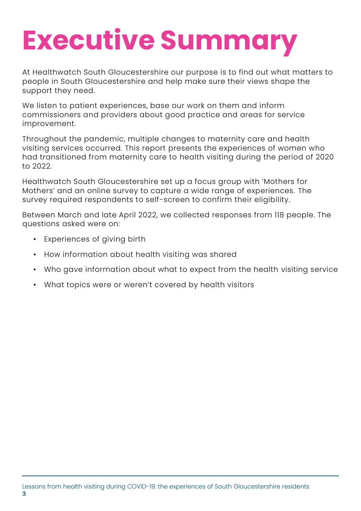## **Executive Summary**

At Healthwatch South Gloucestershire our purpose is to find out what matters to people in South Gloucestershire and help make sure their views shape the support they need.

We listen to patient experiences, base our work on them and inform commissioners and providers about good practice and areas for service improvement.

Throughout the pandemic, multiple changes to maternity care and health visiting services occurred. This report presents the experiences of women who had transitioned from maternity care to health visiting during the period of 2020 to 2022.

Healthwatch South Gloucestershire set up a focus group with 'Mothers for Mothers' and an online survey to capture a wide range of experiences. The survey required respondents to self-screen to confirm their eligibility.

Between March and late April 2022, we collected responses from 118 people. The questions asked were on:

- Experiences of giving birth
- How information about health visiting was shared
- Who gave information about what to expect from the health visiting service
- What topics were or weren't covered by health visitors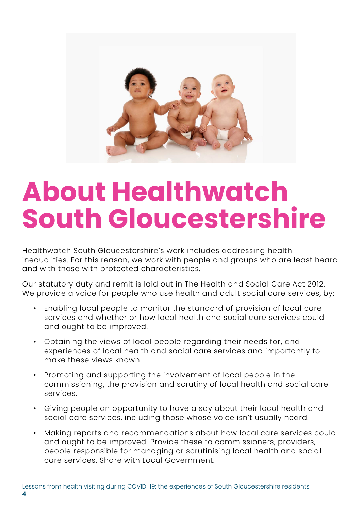

## **About Healthwatch South Gloucestershire**

Healthwatch South Gloucestershire's work includes addressing health inequalities. For this reason, we work with people and groups who are least heard and with those with protected characteristics.

Our statutory duty and remit is laid out in The Health and Social Care Act 2012. We provide a voice for people who use health and adult social care services, by:

- Enabling local people to monitor the standard of provision of local care services and whether or how local health and social care services could and ought to be improved.
- Obtaining the views of local people regarding their needs for, and experiences of local health and social care services and importantly to make these views known.
- Promoting and supporting the involvement of local people in the commissioning, the provision and scrutiny of local health and social care services.
- Giving people an opportunity to have a say about their local health and social care services, including those whose voice isn't usually heard.
- Making reports and recommendations about how local care services could and ought to be improved. Provide these to commissioners, providers, people responsible for managing or scrutinising local health and social care services. Share with Local Government.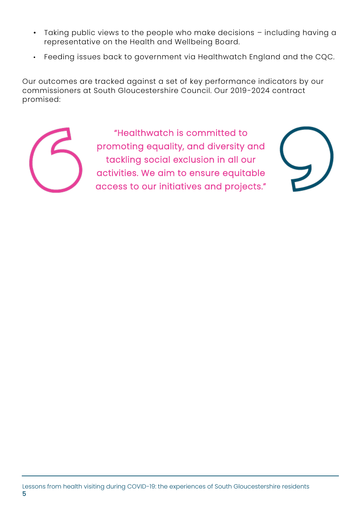- Taking public views to the people who make decisions including having a representative on the Health and Wellbeing Board.
- Feeding issues back to government via Healthwatch England and the CQC.

Our outcomes are tracked against a set of key performance indicators by our commissioners at South Gloucestershire Council. Our 2019-2024 contract promised:



"Healthwatch is committed to promoting equality, and diversity and tackling social exclusion in all our activities. We aim to ensure equitable access to our initiatives and projects."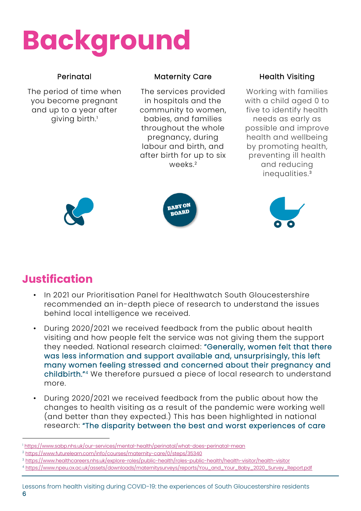## **Background**

### Perinatal

The period of time when you become pregnant and up to a year after giving birth.<sup>1</sup>

### Maternity Care

The services provided in hospitals and the community to women, babies, and families throughout the whole pregnancy, during labour and birth, and after birth for up to six weeks<sup>2</sup>

### Health Visiting

Working with families with a child aged 0 to five to identify health needs as early as possible and improve health and wellbeing by promoting health, preventing ill health and reducing inequalities.<sup>3</sup>







## **Justification**

- In 2021 our Prioritisation Panel for Healthwatch South Gloucestershire recommended an in-depth piece of research to understand the issues behind local intelligence we received.
- During 2020/2021 we received feedback from the public about health visiting and how people felt the service was not giving them the support they needed. National research claimed: "Generally, women felt that there was less information and support available and, unsurprisingly, this left many women feeling stressed and concerned about their pregnancy and childbirth."<sup>4</sup> We therefore pursued a piece of local research to understand more.
- During 2020/2021 we received feedback from the public about how the changes to health visiting as a result of the pandemic were working well (and better than they expected.) This has been highlighted in national research: "The disparity between the best and worst experiences of care

<sup>4</sup> [https://www.npeu.ox.ac.uk/assets/downloads/maternitysurveys/reports/You\\_and\\_Your\\_Baby\\_2020\\_Survey\\_Report.pdf](https://www.npeu.ox.ac.uk/assets/downloads/maternitysurveys/reports/You_and_Your_Baby_2020_Survey_Report.pdf)

<sup>1</sup> <https://www.sabp.nhs.uk/our-services/mental-health/perinatal/what-does-perinatal-mean>

<sup>2</sup> <https://www.futurelearn.com/info/courses/maternity-care/0/steps/35340>

<sup>3</sup> <https://www.healthcareers.nhs.uk/explore-roles/public-health/roles-public-health/health-visitor/health-visitor>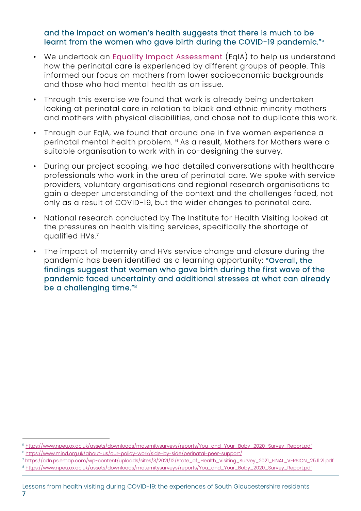#### and the impact on women's health suggests that there is much to be learnt from the women who gave birth during the COVID-19 pandemic."<sup>5</sup>

- We undertook an [Equality Impact Assessment](https://www.healthwatchsouthglos.co.uk/health-visiting-project-docs) (EqIA) to help us understand how the perinatal care is experienced by different groups of people. This informed our focus on mothers from lower socioeconomic backgrounds and those who had mental health as an issue.
- Through this exercise we found that work is already being undertaken looking at perinatal care in relation to black and ethnic minority mothers and mothers with physical disabilities, and chose not to duplicate this work.
- Through our EqIA, we found that around one in five women experience a perinatal mental health problem. <sup>6</sup> As a result, Mothers for Mothers were a suitable organisation to work with in co-designing the survey.
- During our project scoping, we had detailed conversations with healthcare professionals who work in the area of perinatal care. We spoke with service providers, voluntary organisations and regional research organisations to gain a deeper understanding of the context and the challenges faced, not only as a result of COVID-19, but the wider changes to perinatal care.
- National research conducted by The Institute for Health Visiting looked at the pressures on health visiting services, specifically the shortage of qualified HVs.<sup>7</sup>
- The impact of maternity and HVs service change and closure during the pandemic has been identified as a learning opportunity: "Overall, the findings suggest that women who gave birth during the first wave of the pandemic faced uncertainty and additional stresses at what can already be a challenging time."<sup>8</sup>

<sup>7</sup> [https://cdn.ps.emap.com/wp-content/uploads/sites/3/2021/12/State\\_of\\_Health\\_Visiting\\_Survey\\_2021\\_FINAL\\_VERSION\\_25.11.21.pdf](https://cdn.ps.emap.com/wp-content/uploads/sites/3/2021/12/State_of_Health_Visiting_Survey_2021_FINAL_VERSION_25.11.21.pdf)

<sup>5</sup> [https://www.npeu.ox.ac.uk/assets/downloads/maternitysurveys/reports/You\\_and\\_Your\\_Baby\\_2020\\_Survey\\_Report.pdf](https://www.npeu.ox.ac.uk/assets/downloads/maternitysurveys/reports/You_and_Your_Baby_2020_Survey_Report.pdf) <sup>6</sup> <https://www.mind.org.uk/about-us/our-policy-work/side-by-side/perinatal-peer-support/>

<sup>8</sup> [https://www.npeu.ox.ac.uk/assets/downloads/maternitysurveys/reports/You\\_and\\_Your\\_Baby\\_2020\\_Survey\\_Report.pdf](https://www.npeu.ox.ac.uk/assets/downloads/maternitysurveys/reports/You_and_Your_Baby_2020_Survey_Report.pdf)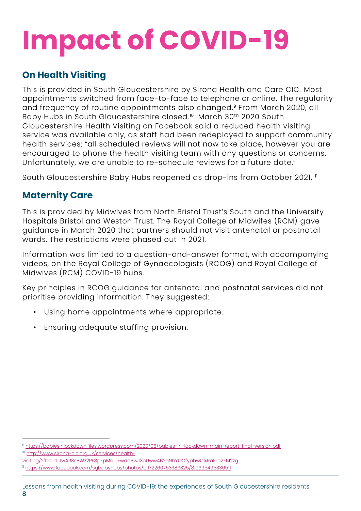## **Impact of COVID-19**

## **On Health Visiting**

This is provided in South Gloucestershire by Sirona Health and Care CIC. Most appointments switched from face-to-face to telephone or online. The regularity and frequency of routine appointments also changed.<sup>9</sup> From March 2020, all Baby Hubs in South Gloucestershire closed.<sup>10</sup> March 30<sup>th</sup> 2020 South Gloucestershire Health Visiting on Facebook said a reduced health visiting service was available only, as staff had been redeployed to support community health services: "all scheduled reviews will not now take place, however you are encouraged to phone the health visiting team with any questions or concerns. Unfortunately, we are unable to re-schedule reviews for a future date."

South Gloucestershire Baby Hubs reopened as drop-ins from October 2021. 11

### **Maternity Care**

This is provided by Midwives from North Bristol Trust's South and the University Hospitals Bristol and Weston Trust. The Royal College of Midwifes (RCM) gave guidance in March 2020 that partners should not visit antenatal or postnatal wards. The restrictions were phased out in 2021.

Information was limited to a question-and-answer format, with accompanying videos, on the Royal College of Gynaecologists (RCOG) and Royal College of Midwives (RCM) COVID-19 hubs.

Key principles in RCOG guidance for antenatal and postnatal services did not prioritise providing information. They suggested:

- Using home appointments where appropriate.
- Ensuring adequate staffing provision.

<sup>9</sup> <https://babiesinlockdown.files.wordpress.com/2020/08/babies-in-lockdown-main-report-final-version.pdf>

<sup>10</sup> [http://www.sirona-cic.org.uk/services/health-](http://www.sirona-cic.org.uk/services/health-visiting/?fbclid=IwAR3s8Wz2PF8pFpMaiuEwdqBwJ3oUww4BYpNhYOCfyphwCIxIraErp2EM2zg)

[visiting/?fbclid=IwAR3s8Wz2PF8pFpMaiuEwdqBwJ3oUww4BYpNhYOCfyphwCIxIraErp2EM2zg](http://www.sirona-cic.org.uk/services/health-visiting/?fbclid=IwAR3s8Wz2PF8pFpMaiuEwdqBwJ3oUww4BYpNhYOCfyphwCIxIraErp2EM2zg) <sup>11</sup> <https://www.facebook.com/sgbabyhubs/photos/a.172260753383325/819395495336511>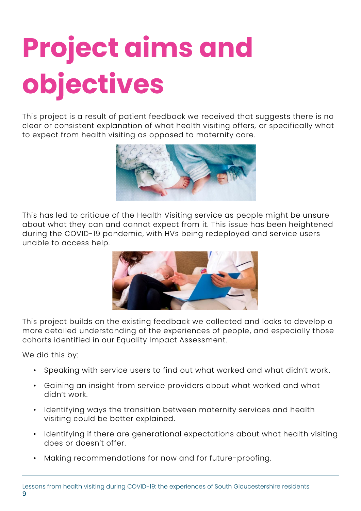# **Project aims and objectives**

This project is a result of patient feedback we received that suggests there is no clear or consistent explanation of what health visiting offers, or specifically what to expect from health visiting as opposed to maternity care.



This has led to critique of the Health Visiting service as people might be unsure about what they can and cannot expect from it. This issue has been heightened during the COVID-19 pandemic, with HVs being redeployed and service users unable to access help.



This project builds on the existing feedback we collected and looks to develop a more detailed understanding of the experiences of people, and especially those cohorts identified in our Equality Impact Assessment.

We did this by:

- Speaking with service users to find out what worked and what didn't work.
- Gaining an insight from service providers about what worked and what didn't work.
- Identifying ways the transition between maternity services and health visiting could be better explained.
- Identifying if there are generational expectations about what health visiting does or doesn't offer.
- Making recommendations for now and for future-proofing.

9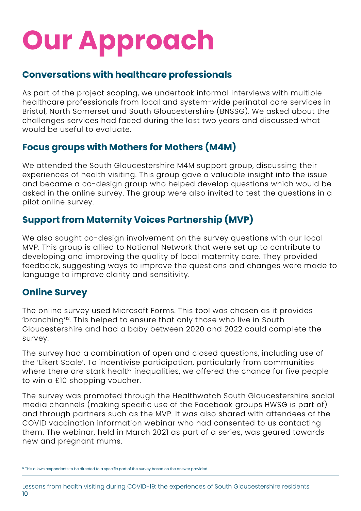## **Our Approach**

### **Conversations with healthcare professionals**

As part of the project scoping, we undertook informal interviews with multiple healthcare professionals from local and system-wide perinatal care services in Bristol, North Somerset and South Gloucestershire (BNSSG). We asked about the challenges services had faced during the last two years and discussed what would be useful to evaluate.

## **Focus groups with Mothers for Mothers (M4M)**

We attended the South Gloucestershire M4M support group, discussing their experiences of health visiting. This group gave a valuable insight into the issue and became a co-design group who helped develop questions which would be asked in the online survey. The group were also invited to test the questions in a pilot online survey.

## **Support from Maternity Voices Partnership (MVP)**

We also sought co-design involvement on the survey questions with our local MVP. This group is allied to National Network that were set up to contribute to developing and improving the quality of local maternity care. They provided feedback, suggesting ways to improve the questions and changes were made to language to improve clarity and sensitivity.

## **Online Survey**

The online survey used Microsoft Forms. This tool was chosen as it provides 'branching'<sup>12</sup>. This helped to ensure that only those who live in South Gloucestershire and had a baby between 2020 and 2022 could complete the survey.

The survey had a combination of open and closed questions, including use of the 'Likert Scale'. To incentivise participation, particularly from communities where there are stark health inequalities, we offered the chance for five people to win a £10 shopping voucher.

The survey was promoted through the Healthwatch South Gloucestershire social media channels (making specific use of the Facebook groups HWSG is part of) and through partners such as the MVP. It was also shared with attendees of the COVID vaccination information webinar who had consented to us contacting them. The webinar, held in March 2021 as part of a series, was geared towards new and pregnant mums.

 $12$  This allows respondents to be directed to a specific part of the survey based on the answer provided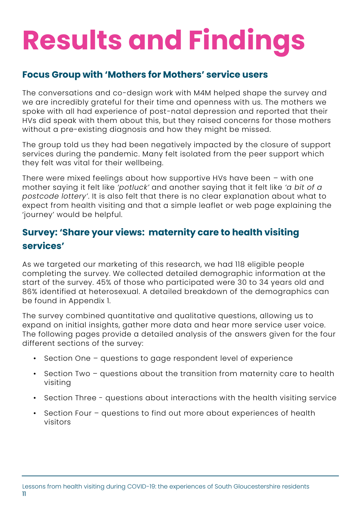## **Results and Findings**

## **Focus Group with 'Mothers for Mothers' service users**

The conversations and co-design work with M4M helped shape the survey and we are incredibly grateful for their time and openness with us. The mothers we spoke with all had experience of post-natal depression and reported that their HVs did speak with them about this, but they raised concerns for those mothers without a pre-existing diagnosis and how they might be missed.

The group told us they had been negatively impacted by the closure of support services during the pandemic. Many felt isolated from the peer support which they felt was vital for their wellbeing.

There were mixed feelings about how supportive HVs have been – with one mother saying it felt like *'potluck'* and another saying that it felt like *'a bit of a postcode lottery'*. It is also felt that there is no clear explanation about what to expect from health visiting and that a simple leaflet or web page explaining the 'journey' would be helpful.

## **Survey: 'Share your views: maternity care to health visiting services'**

As we targeted our marketing of this research, we had 118 eligible people completing the survey. We collected detailed demographic information at the start of the survey. 45% of those who participated were 30 to 34 years old and 86% identified at heterosexual. A detailed breakdown of the demographics can be found in Appendix 1.

The survey combined quantitative and qualitative questions, allowing us to expand on initial insights, gather more data and hear more service user voice. The following pages provide a detailed analysis of the answers given for the four different sections of the survey:

- Section One questions to gage respondent level of experience
- Section Two questions about the transition from maternity care to health visiting
- Section Three questions about interactions with the health visiting service
- Section Four questions to find out more about experiences of health visitors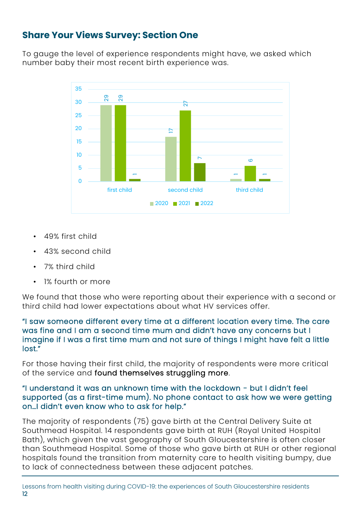## **Share Your Views Survey: Section One**

To gauge the level of experience respondents might have, we asked which number baby their most recent birth experience was.



- 49% first child
- 43% second child
- 7% third child
- 1% fourth or more

We found that those who were reporting about their experience with a second or third child had lower expectations about what HV services offer.

#### "I saw someone different every time at a different location every time. The care was fine and I am a second time mum and didn't have any concerns but I imagine if I was a first time mum and not sure of things I might have felt a little lost."

For those having their first child, the majority of respondents were more critical of the service and found themselves struggling more.

#### "I understand it was an unknown time with the lockdown - but I didn't feel supported (as a first-time mum). No phone contact to ask how we were getting on…I didn't even know who to ask for help."

The majority of respondents (75) gave birth at the Central Delivery Suite at Southmead Hospital. 14 respondents gave birth at RUH (Royal United Hospital Bath), which given the vast geography of South Gloucestershire is often closer than Southmead Hospital. Some of those who gave birth at RUH or other regional hospitals found the transition from maternity care to health visiting bumpy, due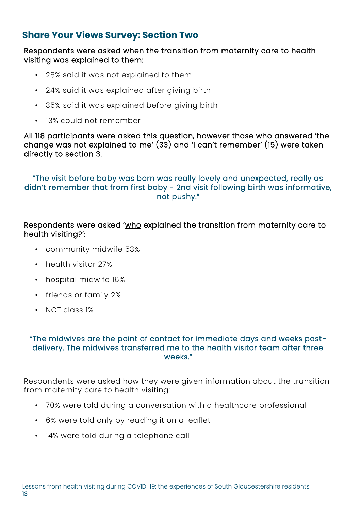### **Share Your Views Survey: Section Two**

Respondents were asked when the transition from maternity care to health visiting was explained to them:

- 28% said it was not explained to them
- 24% said it was explained after giving birth
- 35% said it was explained before giving birth
- 13% could not remember

All 118 participants were asked this question, however those who answered 'the change was not explained to me' (33) and 'I can't remember' (15) were taken directly to section 3.

#### "The visit before baby was born was really lovely and unexpected, really as didn't remember that from first baby - 2nd visit following birth was informative, not pushy."

#### Respondents were asked 'who explained the transition from maternity care to health visiting?':

- community midwife 53%
- health visitor 27%
- hospital midwife 16%
- friends or family 2%
- NCT class 1%

#### "The midwives are the point of contact for immediate days and weeks postdelivery. The midwives transferred me to the health visitor team after three weeks."

Respondents were asked how they were given information about the transition from maternity care to health visiting:

- 70% were told during a conversation with a healthcare professional
- 6% were told only by reading it on a leaflet
- 14% were told during a telephone call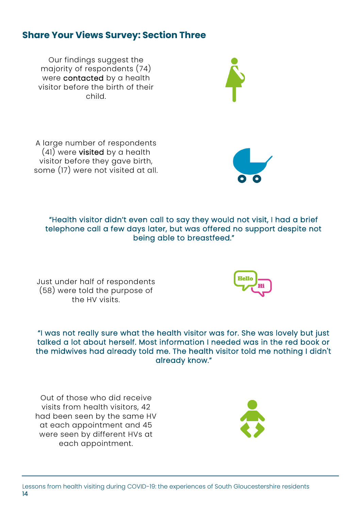### **Share Your Views Survey: Section Three**

Our findings suggest the majority of respondents (74) were contacted by a health visitor before the birth of their child.

A large number of respondents (41) were visited by a health visitor before they gave birth, some (17) were not visited at all.

"Health visitor didn't even call to say they would not visit, I had a brief telephone call a few days later, but was offered no support despite not being able to breastfeed."

Just under half of respondents (58) were told the purpose of the HV visits.

"I was not really sure what the health visitor was for. She was lovely but just talked a lot about herself. Most information I needed was in the red book or the midwives had already told me. The health visitor told me nothing I didn't already know."

Out of those who did receive visits from health visitors, 42 had been seen by the same HV at each appointment and 45 were seen by different HVs at each appointment.

14





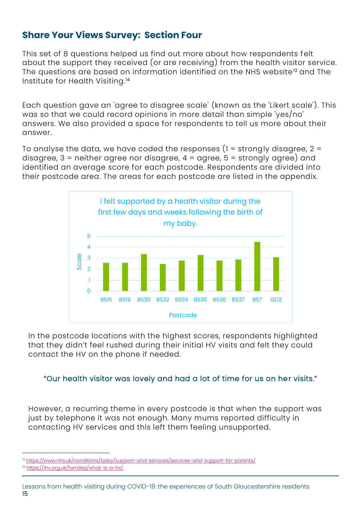### **Share Your Views Survey: Section Four**

This set of 8 questions helped us find out more about how respondents felt about the support they received (or are receiving) from the health visitor service. The questions are based on information identified on the NHS website<sup>13</sup> and The Institute for Health Visiting. 14

Each question gave an 'agree to disagree scale' (known as the 'Likert scale'). This was so that we could record opinions in more detail than simple 'yes/no' answers. We also provided a space for respondents to tell us more about their answer.

To analyse the data, we have coded the responses  $(1 =$  strongly disagree,  $2 =$ disagree,  $3$  = neither agree nor disagree,  $4$  = agree,  $5$  = strongly agree) and identified an average score for each postcode. Respondents are divided into their postcode area. The areas for each postcode are listed in the appendix.



In the postcode locations with the highest scores, respondents highlighted that they didn't feel rushed during their initial HV visits and felt they could contact the HV on the phone if needed.

#### "Our health visitor was lovely and had a lot of time for us on her visits."

However, a recurring theme in every postcode is that when the support was just by telephone it was not enough. Many mums reported difficulty in contacting HV services and this left them feeling unsupported.

<sup>&</sup>lt;sup>13</sup> <https://www.nhs.uk/conditions/baby/support-and-services/services-and-support-for-parents/>

<sup>&</sup>lt;sup>14</sup> <https://ihv.org.uk/families/what-is-a-hv/>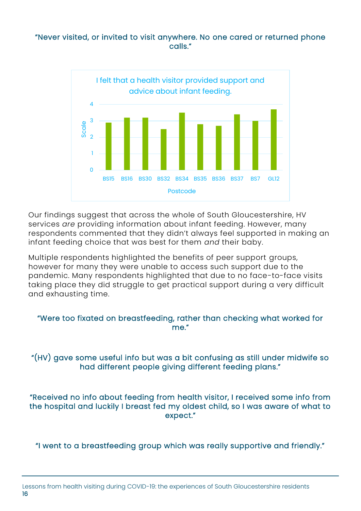#### "Never visited, or invited to visit anywhere. No one cared or returned phone calls."



Our findings suggest that across the whole of South Gloucestershire, HV services *are* providing information about infant feeding. However, many respondents commented that they didn't always feel supported in making an infant feeding choice that was best for them *and* their baby.

Multiple respondents highlighted the benefits of peer support groups, however for many they were unable to access such support due to the pandemic. Many respondents highlighted that due to no face-to-face visits taking place they did struggle to get practical support during a very difficult and exhausting time.

"Were too fixated on breastfeeding, rather than checking what worked for me."

"(HV) gave some useful info but was a bit confusing as still under midwife so had different people giving different feeding plans."

"Received no info about feeding from health visitor, I received some info from the hospital and luckily I breast fed my oldest child, so I was aware of what to expect."

"I went to a breastfeeding group which was really supportive and friendly."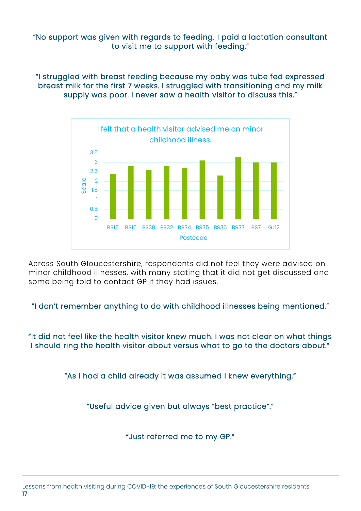"No support was given with regards to feeding. I paid a lactation consultant to visit me to support with feeding."

"I struggled with breast feeding because my baby was tube fed expressed breast milk for the first 7 weeks. I struggled with transitioning and my milk supply was poor. I never saw a health visitor to discuss this."



Across South Gloucestershire, respondents did not feel they were advised on minor childhood illnesses, with many stating that it did not get discussed and some being told to contact GP if they had issues.

"I don't remember anything to do with childhood illnesses being mentioned."

"It did not feel like the health visitor knew much. I was not clear on what things I should ring the health visitor about versus what to go to the doctors about."

"As I had a child already it was assumed I knew everything."

"Useful advice given but always "best practice"."

"Just referred me to my GP."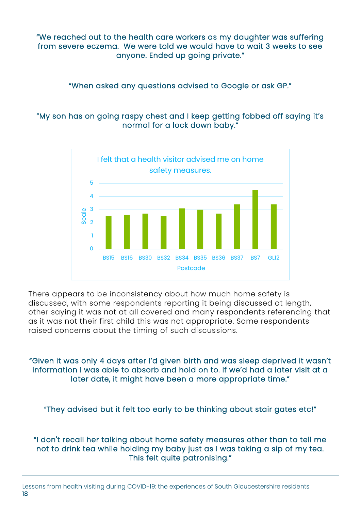"We reached out to the health care workers as my daughter was suffering from severe eczema. We were told we would have to wait 3 weeks to see anyone. Ended up going private."

"When asked any questions advised to Google or ask GP."

### "My son has on going raspy chest and I keep getting fobbed off saying it's normal for a lock down baby."



There appears to be inconsistency about how much home safety is discussed, with some respondents reporting it being discussed at length, other saying it was not at all covered and many respondents referencing that as it was not their first child this was not appropriate. Some respondents raised concerns about the timing of such discussions.

"Given it was only 4 days after I'd given birth and was sleep deprived it wasn't information I was able to absorb and hold on to. If we'd had a later visit at a later date, it might have been a more appropriate time."

"They advised but it felt too early to be thinking about stair gates etc!"

"I don't recall her talking about home safety measures other than to tell me not to drink tea while holding my baby just as I was taking a sip of my tea. This felt quite patronising."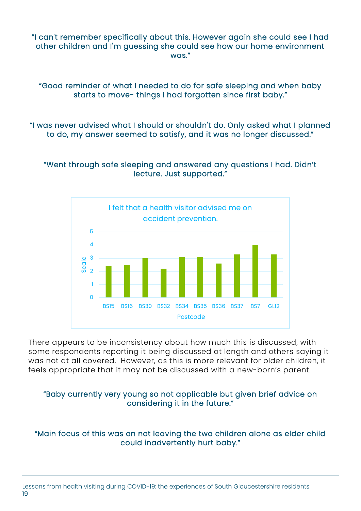"I can't remember specifically about this. However again she could see I had other children and I'm guessing she could see how our home environment was."

"Good reminder of what I needed to do for safe sleeping and when baby starts to move- things I had forgotten since first baby."

"I was never advised what I should or shouldn't do. Only asked what I planned to do, my answer seemed to satisfy, and it was no longer discussed."

#### "Went through safe sleeping and answered any questions I had. Didn't lecture. Just supported."



There appears to be inconsistency about how much this is discussed, with some respondents reporting it being discussed at length and others saying it was not at all covered. However, as this is more relevant for older children, it feels appropriate that it may not be discussed with a new-born's parent.

#### "Baby currently very young so not applicable but given brief advice on considering it in the future."

#### "Main focus of this was on not leaving the two children alone as elder child could inadvertently hurt baby."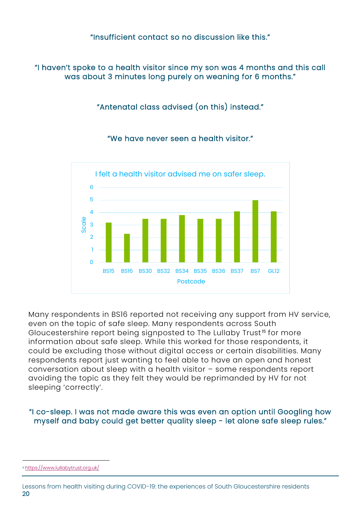#### "Insufficient contact so no discussion like this."

"I haven't spoke to a health visitor since my son was 4 months and this call was about 3 minutes long purely on weaning for 6 months."

"Antenatal class advised (on this) instead."

"We have never seen a health visitor."



Many respondents in BS16 reported not receiving any support from HV service, even on the topic of safe sleep. Many respondents across South Gloucestershire report being signposted to The Lullaby Trust<sup>15</sup> for more information about safe sleep. While this worked for those respondents, it could be excluding those without digital access or certain disabilities. Many respondents report just wanting to feel able to have an open and honest conversation about sleep with a health visitor – some respondents report avoiding the topic as they felt they would be reprimanded by HV for not sleeping 'correctly'.

"I co-sleep. I was not made aware this was even an option until Googling how myself and baby could get better quality sleep - let alone safe sleep rules."

<sup>15</sup> <https://www.lullabytrust.org.uk/>

Lessons from health visiting during COVID-19: the experiences of South Gloucestershire residents 20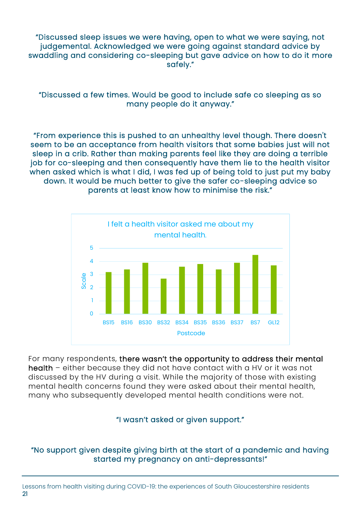"Discussed sleep issues we were having, open to what we were saying, not judgemental. Acknowledged we were going against standard advice by swaddling and considering co-sleeping but gave advice on how to do it more safely."

"Discussed a few times. Would be good to include safe co sleeping as so many people do it anyway."

"From experience this is pushed to an unhealthy level though. There doesn't seem to be an acceptance from health visitors that some babies just will not sleep in a crib. Rather than making parents feel like they are doing a terrible job for co-sleeping and then consequently have them lie to the health visitor when asked which is what I did, I was fed up of being told to just put my baby down. It would be much better to give the safer co-sleeping advice so parents at least know how to minimise the risk."



For many respondents, there wasn't the opportunity to address their mental health – either because they did not have contact with a HV or it was not discussed by the HV during a visit. While the majority of those with existing mental health concerns found they were asked about their mental health, many who subsequently developed mental health conditions were not.

#### "I wasn't asked or given support."

### "No support given despite giving birth at the start of a pandemic and having started my pregnancy on anti-depressants!"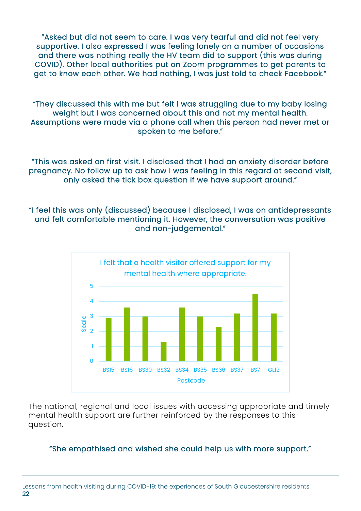"Asked but did not seem to care. I was very tearful and did not feel very supportive. I also expressed I was feeling lonely on a number of occasions and there was nothing really the HV team did to support (this was during COVID). Other local authorities put on Zoom programmes to get parents to get to know each other. We had nothing, I was just told to check Facebook."

"They discussed this with me but felt I was struggling due to my baby losing weight but I was concerned about this and not my mental health. Assumptions were made via a phone call when this person had never met or spoken to me before."

"This was asked on first visit. I disclosed that I had an anxiety disorder before pregnancy. No follow up to ask how I was feeling in this regard at second visit, only asked the tick box question if we have support around."

"I feel this was only (discussed) because I disclosed, I was on antidepressants and felt comfortable mentioning it. However, the conversation was positive and non-judgemental."



The national, regional and local issues with accessing appropriate and timely mental health support are further reinforced by the responses to this question*.* 

#### "She empathised and wished she could help us with more support."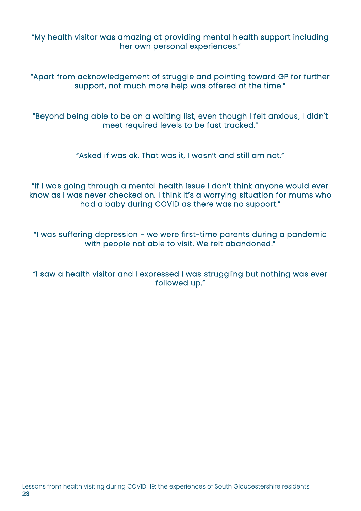"My health visitor was amazing at providing mental health support including her own personal experiences."

"Apart from acknowledgement of struggle and pointing toward GP for further support, not much more help was offered at the time."

"Beyond being able to be on a waiting list, even though I felt anxious, I didn't meet required levels to be fast tracked."

"Asked if was ok. That was it, I wasn't and still am not."

"If I was going through a mental health issue I don't think anyone would ever know as I was never checked on. I think it's a worrying situation for mums who had a baby during COVID as there was no support."

"I was suffering depression - we were first-time parents during a pandemic with people not able to visit. We felt abandoned."

"I saw a health visitor and I expressed I was struggling but nothing was ever followed up."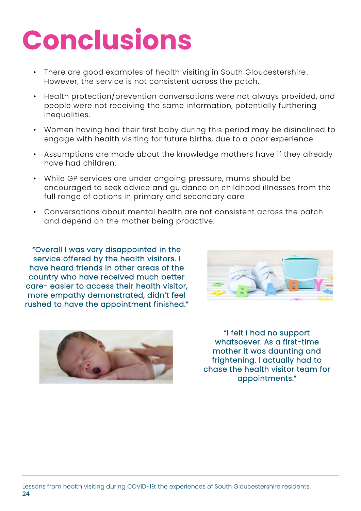## **Conclusions**

- There are good examples of health visiting in South Gloucestershire. However, the service is not consistent across the patch.
- Health protection/prevention conversations were not always provided, and people were not receiving the same information, potentially furthering inequalities.
- Women having had their first baby during this period may be disinclined to engage with health visiting for future births, due to a poor experience.
- Assumptions are made about the knowledge mothers have if they already have had children.
- While GP services are under ongoing pressure, mums should be encouraged to seek advice and guidance on childhood illnesses from the full range of options in primary and secondary care
- Conversations about mental health are not consistent across the patch and depend on the mother being proactive.

"Overall I was very disappointed in the service offered by the health visitors. I have heard friends in other areas of the country who have received much better care- easier to access their health visitor, more empathy demonstrated, didn't feel rushed to have the appointment finished."





"I felt I had no support whatsoever. As a first-time mother it was daunting and frightening. I actually had to chase the health visitor team for appointments."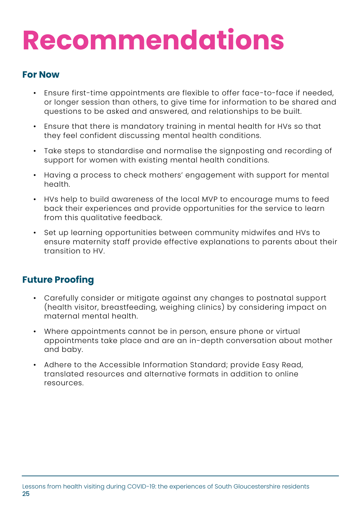## **Recommendations**

### **For Now**

- Ensure first-time appointments are flexible to offer face-to-face if needed, or longer session than others, to give time for information to be shared and questions to be asked and answered, and relationships to be built.
- Ensure that there is mandatory training in mental health for HVs so that they feel confident discussing mental health conditions.
- Take steps to standardise and normalise the signposting and recording of support for women with existing mental health conditions.
- Having a process to check mothers' engagement with support for mental health.
- HVs help to build awareness of the local MVP to encourage mums to feed back their experiences and provide opportunities for the service to learn from this qualitative feedback.
- Set up learning opportunities between community midwifes and HVs to ensure maternity staff provide effective explanations to parents about their transition to HV.

### **Future Proofing**

- Carefully consider or mitigate against any changes to postnatal support (health visitor, breastfeeding, weighing clinics) by considering impact on maternal mental health.
- Where appointments cannot be in person, ensure phone or virtual appointments take place and are an in-depth conversation about mother and baby.
- Adhere to the Accessible Information Standard; provide Easy Read, translated resources and alternative formats in addition to online resources.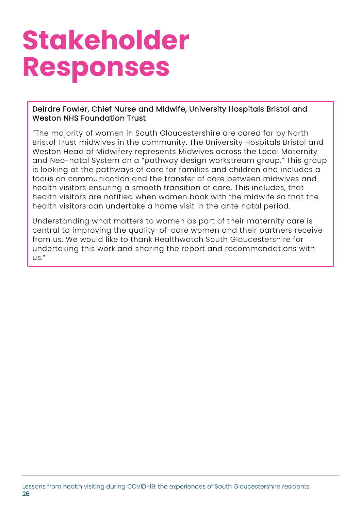## **Stakeholder Responses**

#### Deirdre Fowler, Chief Nurse and Midwife, University Hospitals Bristol and Weston NHS Foundation Trust

"The majority of women in South Gloucestershire are cared for by North Bristol Trust midwives in the community. The University Hospitals Bristol and Weston Head of Midwifery represents Midwives across the Local Maternity and Neo-natal System on a "pathway design workstream group." This group is looking at the pathways of care for families and children and includes a focus on communication and the transfer of care between midwives and health visitors ensuring a smooth transition of care. This includes, that health visitors are notified when women book with the midwife so that the health visitors can undertake a home visit in the ante natal period.

Understanding what matters to women as part of their maternity care is central to improving the quality-of-care women and their partners receive from us. We would like to thank Healthwatch South Gloucestershire for undertaking this work and sharing the report and recommendations with us."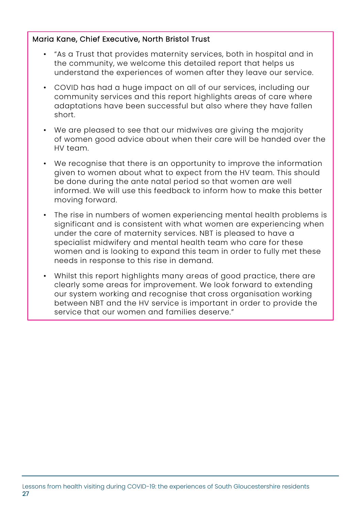#### Maria Kane, Chief Executive, North Bristol Trust

- "As a Trust that provides maternity services, both in hospital and in the community, we welcome this detailed report that helps us understand the experiences of women after they leave our service.
- COVID has had a huge impact on all of our services, including our community services and this report highlights areas of care where adaptations have been successful but also where they have fallen short.
- We are pleased to see that our midwives are giving the majority of women good advice about when their care will be handed over the HV team.
- We recognise that there is an opportunity to improve the information given to women about what to expect from the HV team. This should be done during the ante natal period so that women are well informed. We will use this feedback to inform how to make this better moving forward.
- The rise in numbers of women experiencing mental health problems is significant and is consistent with what women are experiencing when under the care of maternity services. NBT is pleased to have a specialist midwifery and mental health team who care for these women and is looking to expand this team in order to fully met these needs in response to this rise in demand.
- Whilst this report highlights many areas of good practice, there are clearly some areas for improvement. We look forward to extending our system working and recognise that cross organisation working between NBT and the HV service is important in order to provide the service that our women and families deserve."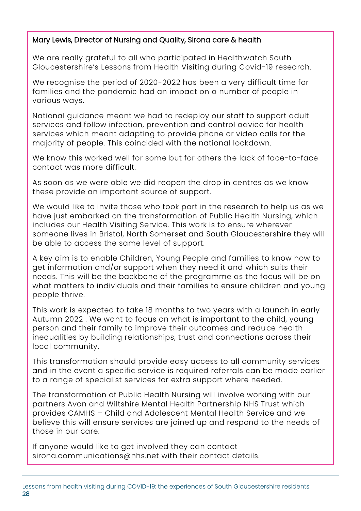### Mary Lewis, Director of Nursing and Quality, Sirona care & health

We are really grateful to all who participated in Healthwatch South Gloucestershire's Lessons from Health Visiting during Covid-19 research.

We recognise the period of 2020-2022 has been a very difficult time for families and the pandemic had an impact on a number of people in various ways.

National guidance meant we had to redeploy our staff to support adult services and follow infection, prevention and control advice for health services which meant adapting to provide phone or video calls for the majority of people. This coincided with the national lockdown.

We know this worked well for some but for others the lack of face-to-face contact was more difficult.

As soon as we were able we did reopen the drop in centres as we know these provide an important source of support.

We would like to invite those who took part in the research to help us as we have just embarked on the transformation of Public Health Nursing, which includes our Health Visiting Service. This work is to ensure wherever someone lives in Bristol, North Somerset and South Gloucestershire they will be able to access the same level of support.

A key aim is to enable Children, Young People and families to know how to get information and/or support when they need it and which suits their needs. This will be the backbone of the programme as the focus will be on what matters to individuals and their families to ensure children and young people thrive.

This work is expected to take 18 months to two years with a launch in early Autumn 2022 . We want to focus on what is important to the child, young person and their family to improve their outcomes and reduce health inequalities by building relationships, trust and connections across their local community.

This transformation should provide easy access to all community services and in the event a specific service is required referrals can be made earlier to a range of specialist services for extra support where needed.

The transformation of Public Health Nursing will involve working with our partners Avon and Wiltshire Mental Health Partnership NHS Trust which provides CAMHS – Child and Adolescent Mental Health Service and we believe this will ensure services are joined up and respond to the needs of those in our care.

If anyone would like to get involved they can contact sirona.communications@nhs.net with their contact details.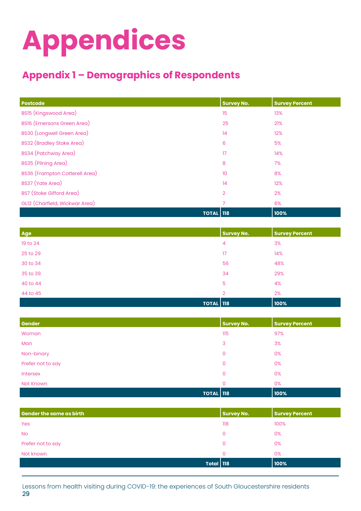## **Appendices**

## **Appendix 1 – Demographics of Respondents**

| <b>Postcode</b>                       | <b>Survey No.</b> | <b>Survey Percent</b> |
|---------------------------------------|-------------------|-----------------------|
| BS15 (Kingswood Area)                 | 15                | 13%                   |
| <b>BS16</b> (Emersons Green Area)     | 25                | 21%                   |
| <b>BS30 (Longwell Green Area)</b>     | 14                | 12%                   |
| <b>BS32 (Bradley Stoke Area)</b>      | 6                 | 5%                    |
| BS34 (Patchway Area)                  | 17                | 14%                   |
| BS35 (Pilning Area)                   | 8                 | 7%                    |
| <b>BS36 (Frampton Cotterell Area)</b> | 10 <sup>°</sup>   | 8%                    |
| BS37 (Yate Area)                      | 14                | 12%                   |
| <b>BS7</b> (Stoke Gifford Area)       | $\overline{2}$    | 2%                    |
| GL12 (Charfield, Wickwar Area)        | $\overline{7}$    | 6%                    |
| <b>TOTAL 118</b>                      |                   | 100%                  |

| <b>Age</b> | <b>Survey No.</b> | <b>Survey Percent</b> |
|------------|-------------------|-----------------------|
| 19 to 24   | 4                 | 3%                    |
| 25 to 29   | 17                | 14%                   |
| 30 to 34   | 56                | 48%                   |
| 35 to 39   | 34                | 29%                   |
| 40 to 44   | 5                 | 4%                    |
| 44 to 45   | $\overline{2}$    | 2%                    |
|            | <b>TOTAL 118</b>  | 100%                  |

| Gender            |                  | <b>Survey No.</b> | <b>Survey Percent</b> |
|-------------------|------------------|-------------------|-----------------------|
| Woman             |                  | 115               | 97%                   |
| Man               |                  | 3                 | 3%                    |
| Non-binary        |                  | 0                 | 0%                    |
| Prefer not to say |                  | 0                 | 0%                    |
| Intersex          |                  | 0                 | 0%                    |
| Not Known         |                  | 0                 | 0%                    |
|                   | <b>TOTAL 118</b> |                   | 100%                  |

| <b>Gender the same as birth</b> | <b>Survey No.</b> | <b>Survey Percent</b> |
|---------------------------------|-------------------|-----------------------|
| Yes                             | 118               | 100%                  |
| <b>No</b>                       | $\mathbf{O}$      | 0%                    |
| Prefer not to say               | 0                 | 0%                    |
| Not known                       | $\mathbf{O}$      | $0\%$                 |
| <b>Total   118</b>              |                   | 100%                  |

Lessons from health visiting during COVID-19: the experiences of South Gloucestershire residents 29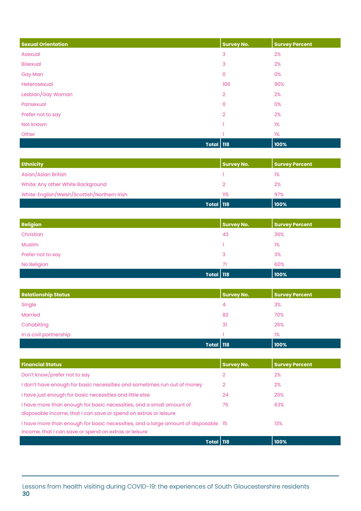| <b>Sexual Orientation</b> | <b>Survey No.</b> | <b>Survey Percent</b> |
|---------------------------|-------------------|-----------------------|
| Asexual                   | 3                 | 2%                    |
| <b>Bisexual</b>           | 3                 | 2%                    |
| <b>Gay Man</b>            | $\mathbf 0$       | 0%                    |
| Heterosexual              | 106               | 90%                   |
| Lesbian/Gay Woman         | $\overline{2}$    | 2%                    |
| Pansexual                 | $\overline{0}$    | 0%                    |
| Prefer not to say         | $\overline{2}$    | 2%                    |
| Not known                 |                   | 1%                    |
| Other                     |                   | 1%                    |
| <b>Total 118</b>          |                   | 100%                  |

| <b>Ethnicity</b>                             | Survey No. | <b>Survey Percent</b> |
|----------------------------------------------|------------|-----------------------|
| Asian/Asian British                          |            | 1%                    |
| White: Any other White Background            |            | 2%                    |
| White: English/Welsh/Scottish/Northern Irish | 115        | 97%                   |
| Total 118                                    |            | 100%                  |

| <b>Religion</b>   | <b>Survey No.</b> | <b>Survey Percent</b> |
|-------------------|-------------------|-----------------------|
| Christian         | 43                | 36%                   |
| Muslim            |                   | 1%                    |
| Prefer not to say | 3                 | 3%                    |
| No Religion       | 71                | 60%                   |
| <b>Total 118</b>  |                   | 100%                  |

| <b>Relationship Status</b> | <b>Survey No.</b> | <b>Survey Percent</b> |
|----------------------------|-------------------|-----------------------|
| Single                     | 4                 | 3%                    |
| <b>Married</b>             | 82                | 70%                   |
| Cohabiting                 | 31                | 26%                   |
| In a civil partnership     |                   | 1%                    |
| <b>Total 118</b>           |                   | 100%                  |

| <b>Financial Status</b>                                                                                                                     | <b>Survey No.</b> | <b>Survey Percent</b> |
|---------------------------------------------------------------------------------------------------------------------------------------------|-------------------|-----------------------|
| Don't know/prefer not to say                                                                                                                | 2                 | 2%                    |
| I don't have enough for basic necessities and sometimes run out of money                                                                    | 2                 | 2%                    |
| I have just enough for basic necessities and little else                                                                                    | 24                | <b>20%</b>            |
| I have more than enough for basic necessities, and a small amount of<br>disposable income, that I can save or spend on extras or leisure    | 75                | 63%                   |
| I have more than enough for basic necessities, and a large amount of disposable 15<br>income, that I can save or spend on extras or leisure |                   | 13%                   |
| Total 118                                                                                                                                   |                   | 100%                  |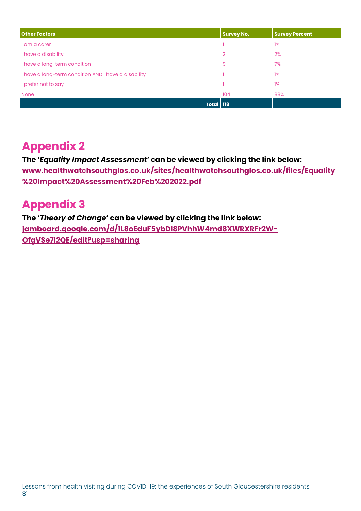| <b>Other Factors</b>                                 | <b>Survey No.</b> | <b>Survey Percent</b> |
|------------------------------------------------------|-------------------|-----------------------|
| I am a carer                                         |                   | 1%                    |
| I have a disability                                  | $\overline{2}$    | 2%                    |
| I have a long-term condition                         | 9                 | 7%                    |
| I have a long-term condition AND I have a disability |                   | 1%                    |
| I prefer not to say                                  |                   | 1%                    |
| <b>None</b>                                          | 104               | 88%                   |
| <b>Total 118</b>                                     |                   |                       |

## **Appendix 2**

**The '***Equality Impact Assessment***' can be viewed by clicking the link below: [www.healthwatchsouthglos.co.uk/sites/healthwatchsouthglos.co.uk/files/Equality](http://www.healthwatchsouthglos.co.uk/sites/healthwatchsouthglos.co.uk/files/Equality%20Impact%20Assessment%20Feb%202022.pdf) [%20Impact%20Assessment%20Feb%202022.pdf](http://www.healthwatchsouthglos.co.uk/sites/healthwatchsouthglos.co.uk/files/Equality%20Impact%20Assessment%20Feb%202022.pdf)**

## **Appendix 3**

**The '***Theory of Change***' can be viewed by clicking the link below: [jamboard.google.com/d/1L8oEduF5ybDI8PVhhW4md8XWRXRFr2W-](https://jamboard.google.com/d/1L8oEduF5ybDI8PVhhW4md8XWRXRFr2W-OfgVSe7l2QE/edit?usp=sharing)[OfgVSe7l2QE/edit?usp=sharing](https://jamboard.google.com/d/1L8oEduF5ybDI8PVhhW4md8XWRXRFr2W-OfgVSe7l2QE/edit?usp=sharing)**